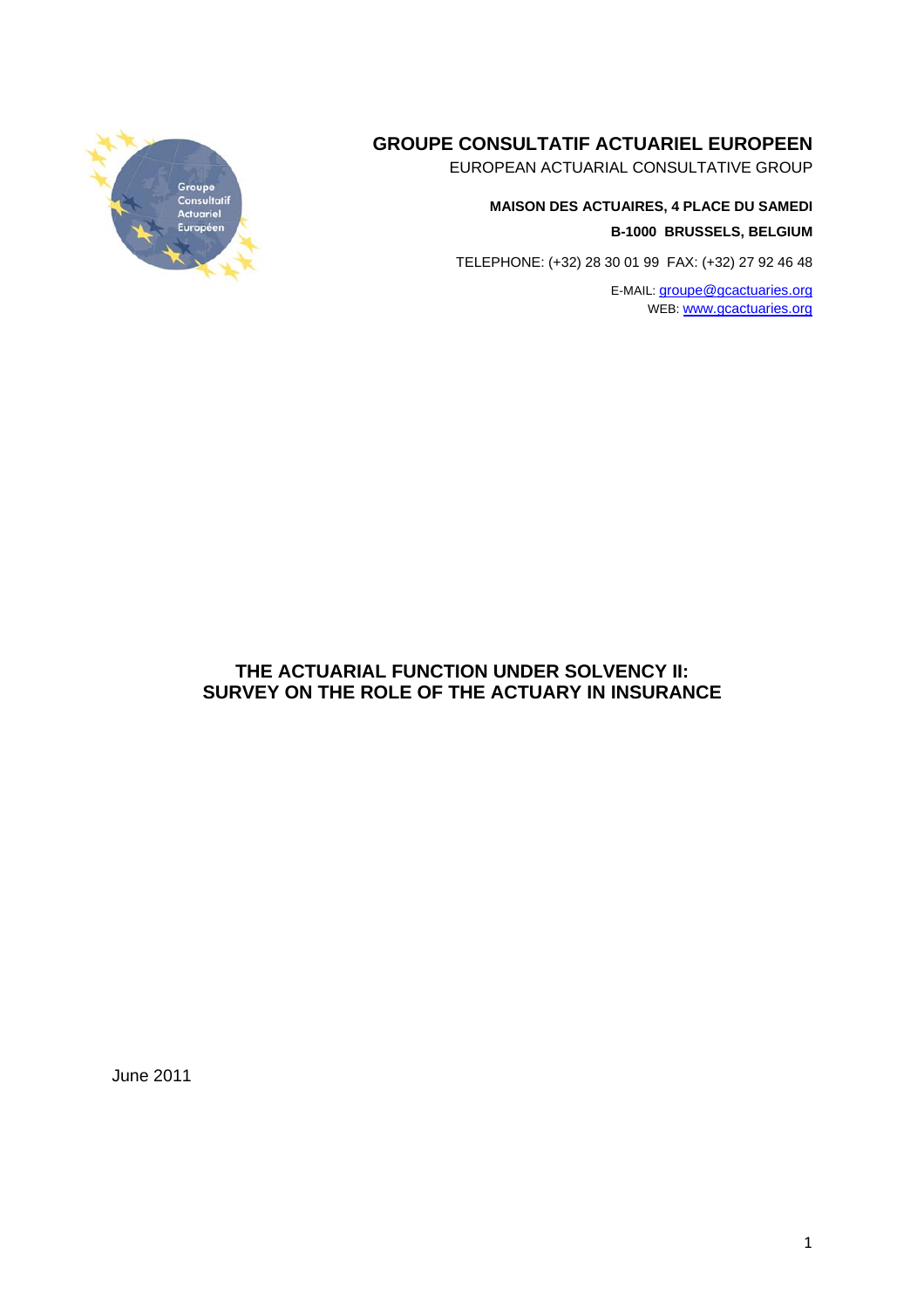# **GROUPE CONSULTATIF ACTUARIEL EUROPEEN**

EUROPEAN ACTUARIAL CONSULTATIVE GROUP

### **MAISON DES ACTUAIRES, 4 PLACE DU SAMEDI B-1000 BRUSSELS, BELGIUM**

TELEPHONE: (+32) 28 30 01 99 FAX: (+32) 27 92 46 48

E-MAIL: groupe@gcactuaries.org WEB: www.gcactuaries.org



### **THE ACTUARIAL FUNCTION UNDER SOLVENCY II: SURVEY ON THE ROLE OF THE ACTUARY IN INSURANCE**

June 2011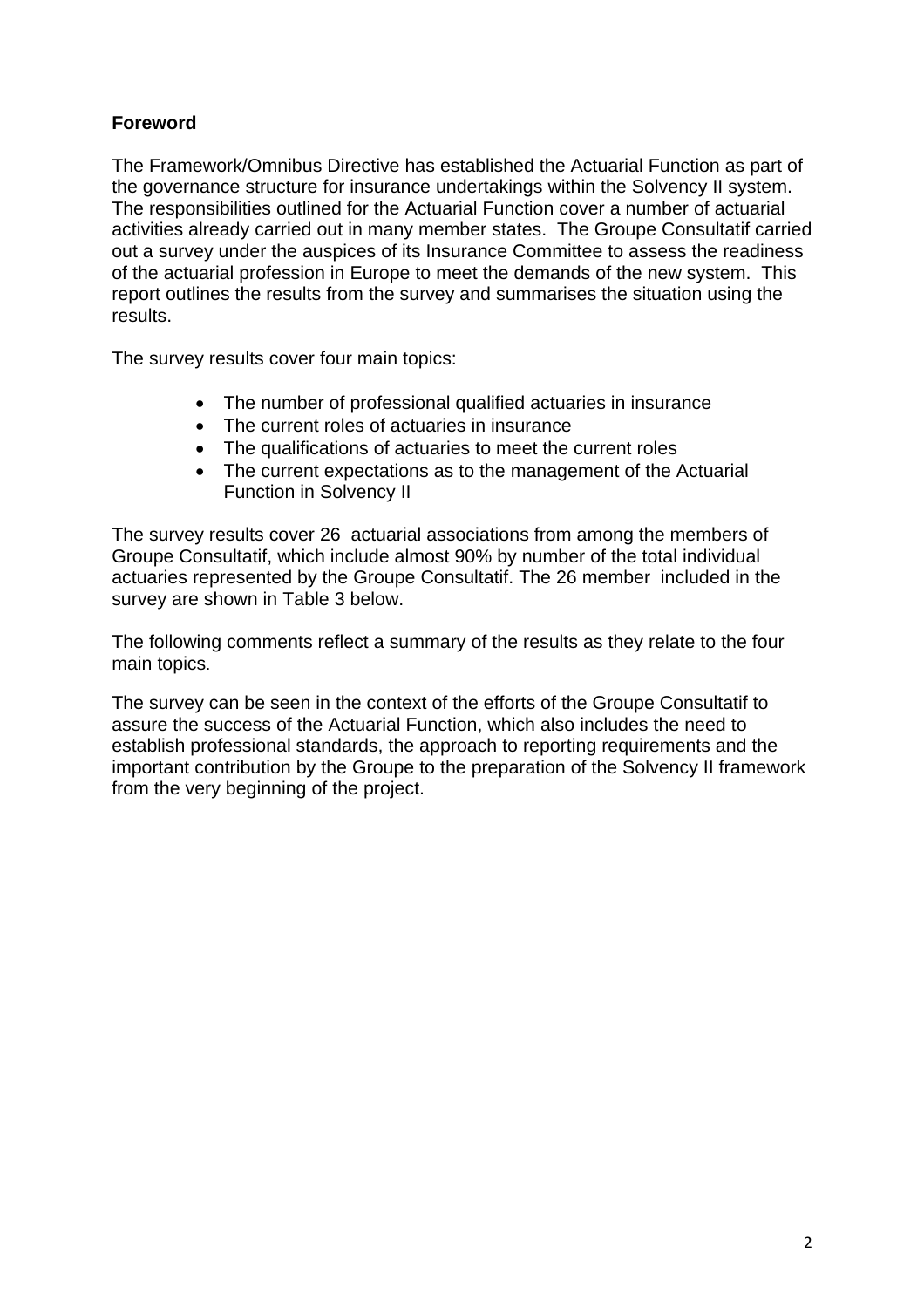# **Foreword**

The Framework/Omnibus Directive has established the Actuarial Function as part of the governance structure for insurance undertakings within the Solvency II system. The responsibilities outlined for the Actuarial Function cover a number of actuarial activities already carried out in many member states. The Groupe Consultatif carried out a survey under the auspices of its Insurance Committee to assess the readiness of the actuarial profession in Europe to meet the demands of the new system. This report outlines the results from the survey and summarises the situation using the results.

The survey results cover four main topics:

- The number of professional qualified actuaries in insurance
- The current roles of actuaries in insurance
- The qualifications of actuaries to meet the current roles
- The current expectations as to the management of the Actuarial Function in Solvency II

The survey results cover 26 actuarial associations from among the members of Groupe Consultatif, which include almost 90% by number of the total individual actuaries represented by the Groupe Consultatif. The 26 member included in the survey are shown in Table 3 below.

The following comments reflect a summary of the results as they relate to the four main topics.

The survey can be seen in the context of the efforts of the Groupe Consultatif to assure the success of the Actuarial Function, which also includes the need to establish professional standards, the approach to reporting requirements and the important contribution by the Groupe to the preparation of the Solvency II framework from the very beginning of the project.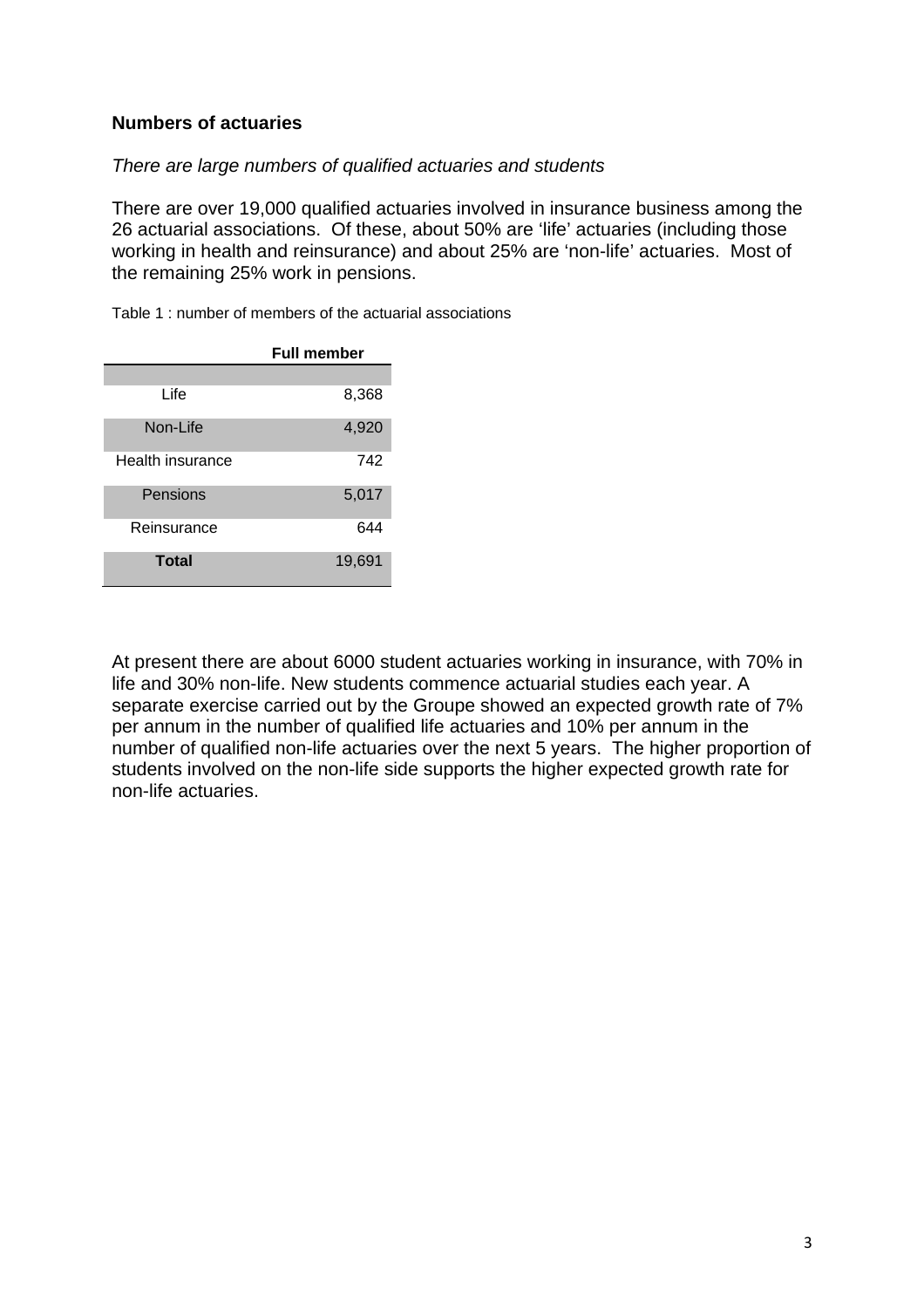## **Numbers of actuaries**

#### *There are large numbers of qualified actuaries and students*

There are over 19,000 qualified actuaries involved in insurance business among the 26 actuarial associations. Of these, about 50% are 'life' actuaries (including those working in health and reinsurance) and about 25% are 'non-life' actuaries. Most of the remaining 25% work in pensions.

Table 1 : number of members of the actuarial associations

|                  | <b>Full member</b> |
|------------------|--------------------|
|                  |                    |
| Life             | 8,368              |
| Non-Life         | 4,920              |
| Health insurance | 742                |
| Pensions         | 5,017              |
| Reinsurance      | 644                |
| <b>Total</b>     | 19,691             |

At present there are about 6000 student actuaries working in insurance, with 70% in life and 30% non-life. New students commence actuarial studies each year. A separate exercise carried out by the Groupe showed an expected growth rate of 7% per annum in the number of qualified life actuaries and 10% per annum in the number of qualified non-life actuaries over the next 5 years. The higher proportion of students involved on the non-life side supports the higher expected growth rate for non-life actuaries.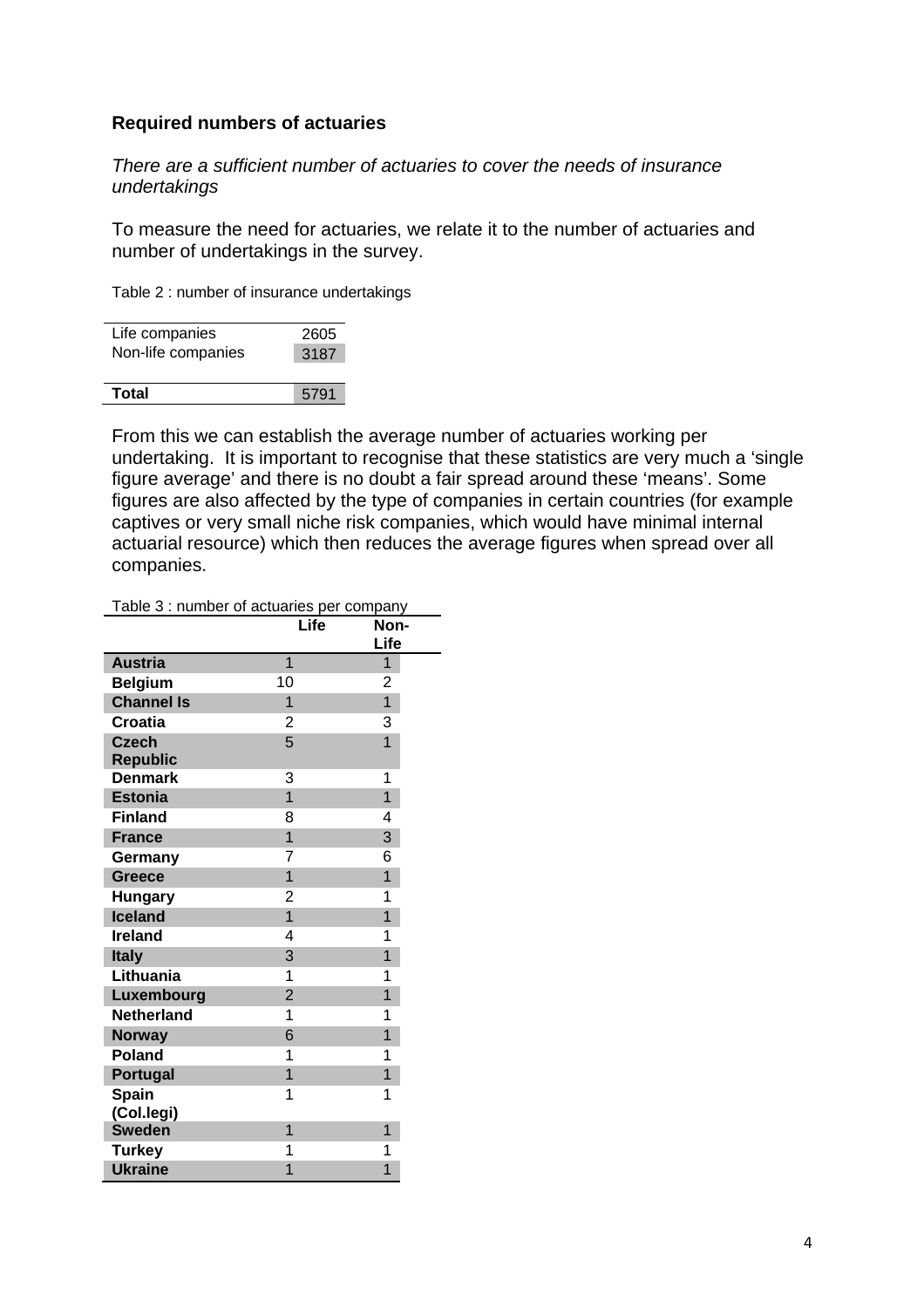#### **Required numbers of actuaries**

*There are a sufficient number of actuaries to cover the needs of insurance undertakings* 

To measure the need for actuaries, we relate it to the number of actuaries and number of undertakings in the survey.

Table 2 : number of insurance undertakings

| Life companies     | 2605 |  |
|--------------------|------|--|
|                    |      |  |
| Non-life companies | 3187 |  |
|                    |      |  |
| Total              | 5791 |  |

From this we can establish the average number of actuaries working per undertaking. It is important to recognise that these statistics are very much a 'single figure average' and there is no doubt a fair spread around these 'means'. Some figures are also affected by the type of companies in certain countries (for example captives or very small niche risk companies, which would have minimal internal actuarial resource) which then reduces the average figures when spread over all companies.

Table 3 : number of actuaries per company

|                   | Life           | Non-<br>Life   |
|-------------------|----------------|----------------|
| <b>Austria</b>    | $\overline{1}$ | 1              |
| <b>Belgium</b>    | 10             | 2              |
| <b>Channel Is</b> | 1              | $\overline{1}$ |
| <b>Croatia</b>    | 2              | 3              |
| <b>Czech</b>      | 5              | $\overline{1}$ |
| <b>Republic</b>   |                |                |
| <b>Denmark</b>    | 3              | 1              |
| <b>Estonia</b>    | $\overline{1}$ | $\overline{1}$ |
| <b>Finland</b>    | 8              | 4              |
| <b>France</b>     | 1              | 3              |
| Germany           | 7              | 6              |
| <b>Greece</b>     | $\overline{1}$ | $\overline{1}$ |
| <b>Hungary</b>    | 2              | 1              |
| Iceland           | $\overline{1}$ | $\overline{1}$ |
| <b>Ireland</b>    | 4              | 1              |
| <b>Italy</b>      | 3              | 1              |
| Lithuania         | 1              | 1              |
| Luxembourg        | $\overline{2}$ | 1              |
| <b>Netherland</b> | 1              | 1              |
| <b>Norway</b>     | 6              | 1              |
| <b>Poland</b>     | 1              | 1              |
| <b>Portugal</b>   | $\overline{1}$ | $\overline{1}$ |
| <b>Spain</b>      | 1              | 1              |
| (Col.legi)        |                |                |
| <b>Sweden</b>     | 1              | 1              |
| <b>Turkey</b>     | 1              | 1              |
| <b>Ukraine</b>    | 1              | 1              |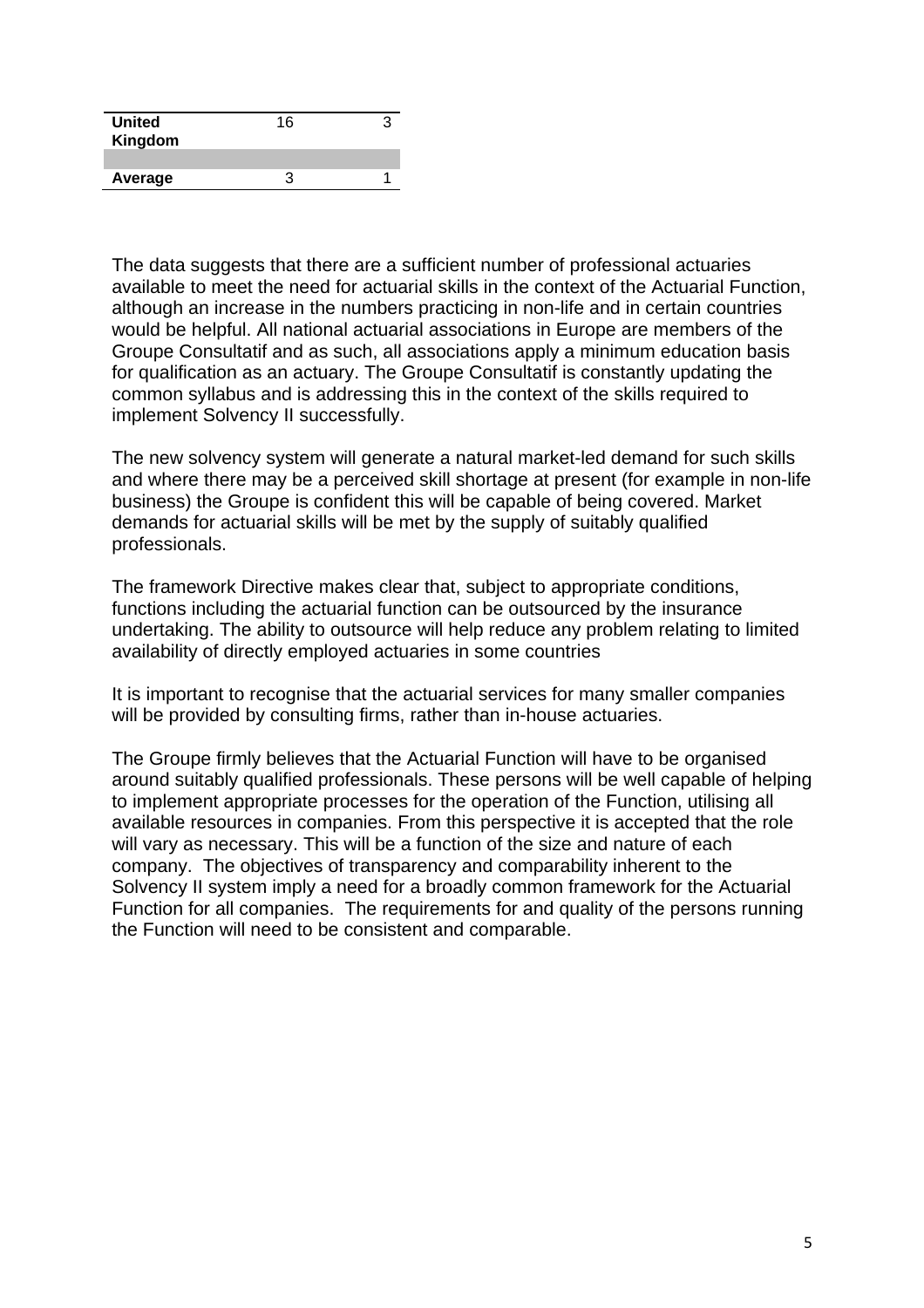| <b>United</b><br>Kingdom | 16 |  |
|--------------------------|----|--|
|                          |    |  |
| Average                  |    |  |

The data suggests that there are a sufficient number of professional actuaries available to meet the need for actuarial skills in the context of the Actuarial Function, although an increase in the numbers practicing in non-life and in certain countries would be helpful. All national actuarial associations in Europe are members of the Groupe Consultatif and as such, all associations apply a minimum education basis for qualification as an actuary. The Groupe Consultatif is constantly updating the common syllabus and is addressing this in the context of the skills required to implement Solvency II successfully.

The new solvency system will generate a natural market-led demand for such skills and where there may be a perceived skill shortage at present (for example in non-life business) the Groupe is confident this will be capable of being covered. Market demands for actuarial skills will be met by the supply of suitably qualified professionals.

The framework Directive makes clear that, subject to appropriate conditions, functions including the actuarial function can be outsourced by the insurance undertaking. The ability to outsource will help reduce any problem relating to limited availability of directly employed actuaries in some countries

It is important to recognise that the actuarial services for many smaller companies will be provided by consulting firms, rather than in-house actuaries.

The Groupe firmly believes that the Actuarial Function will have to be organised around suitably qualified professionals. These persons will be well capable of helping to implement appropriate processes for the operation of the Function, utilising all available resources in companies. From this perspective it is accepted that the role will vary as necessary. This will be a function of the size and nature of each company. The objectives of transparency and comparability inherent to the Solvency II system imply a need for a broadly common framework for the Actuarial Function for all companies. The requirements for and quality of the persons running the Function will need to be consistent and comparable.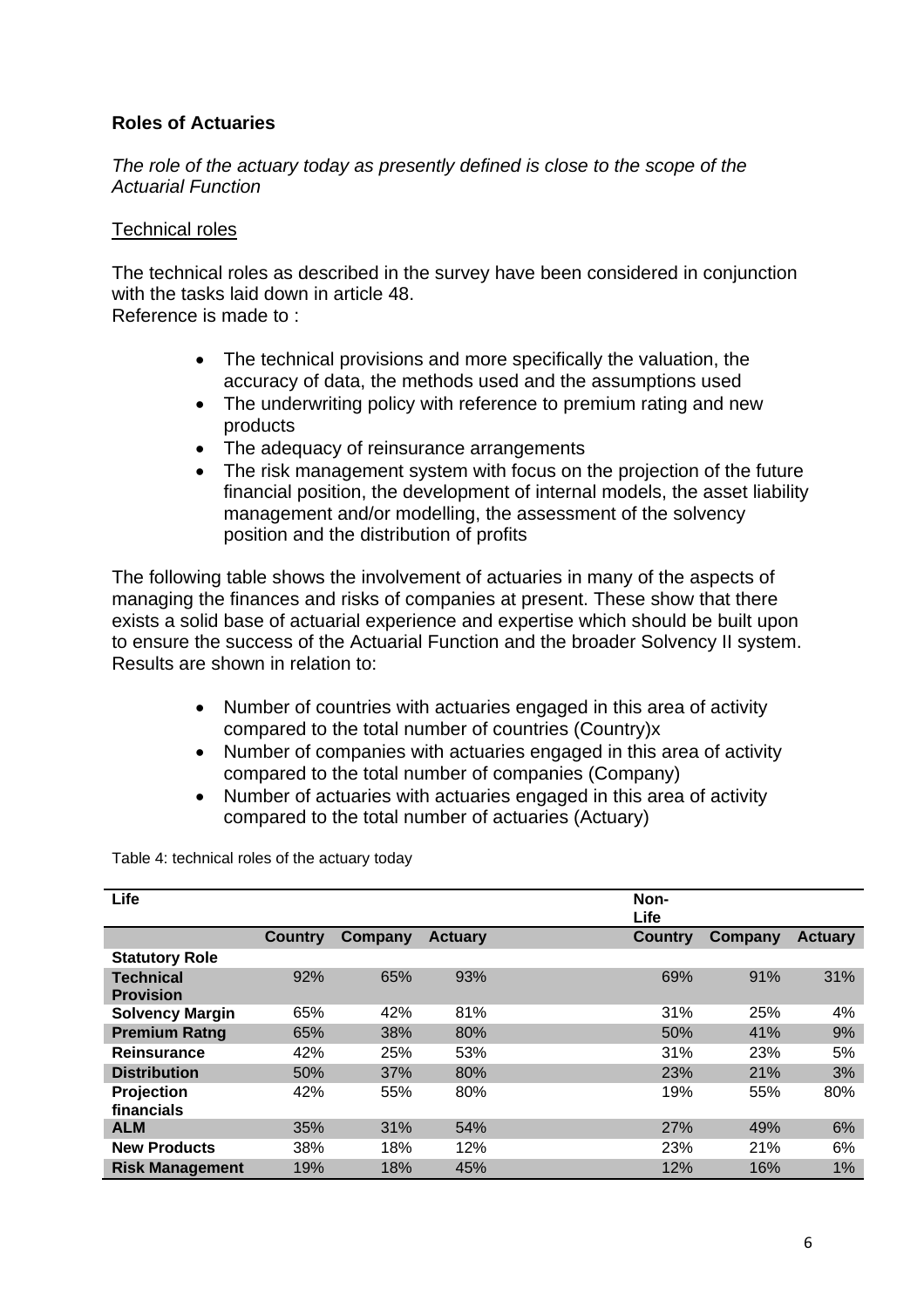# **Roles of Actuaries**

*The role of the actuary today as presently defined is close to the scope of the Actuarial Function* 

#### Technical roles

The technical roles as described in the survey have been considered in conjunction with the tasks laid down in article 48. Reference is made to :

- The technical provisions and more specifically the valuation, the accuracy of data, the methods used and the assumptions used
- The underwriting policy with reference to premium rating and new products
- The adequacy of reinsurance arrangements
- The risk management system with focus on the projection of the future financial position, the development of internal models, the asset liability management and/or modelling, the assessment of the solvency position and the distribution of profits

The following table shows the involvement of actuaries in many of the aspects of managing the finances and risks of companies at present. These show that there exists a solid base of actuarial experience and expertise which should be built upon to ensure the success of the Actuarial Function and the broader Solvency II system. Results are shown in relation to:

- Number of countries with actuaries engaged in this area of activity compared to the total number of countries (Country)x
- Number of companies with actuaries engaged in this area of activity compared to the total number of companies (Company)
- Number of actuaries with actuaries engaged in this area of activity compared to the total number of actuaries (Actuary)

Table 4: technical roles of the actuary today

| Life                                 |                |         |                | Non-<br>Life   |         |                |
|--------------------------------------|----------------|---------|----------------|----------------|---------|----------------|
|                                      | <b>Country</b> | Company | <b>Actuary</b> | <b>Country</b> | Company | <b>Actuary</b> |
| <b>Statutory Role</b>                |                |         |                |                |         |                |
| <b>Technical</b><br><b>Provision</b> | 92%            | 65%     | 93%            | 69%            | 91%     | 31%            |
| <b>Solvency Margin</b>               | 65%            | 42%     | 81%            | 31%            | 25%     | 4%             |
| <b>Premium Ratng</b>                 | 65%            | 38%     | 80%            | 50%            | 41%     | 9%             |
| <b>Reinsurance</b>                   | 42%            | 25%     | 53%            | 31%            | 23%     | 5%             |
| <b>Distribution</b>                  | 50%            | 37%     | 80%            | 23%            | 21%     | 3%             |
| Projection<br>financials             | 42%            | 55%     | 80%            | 19%            | 55%     | 80%            |
| <b>ALM</b>                           | 35%            | 31%     | 54%            | 27%            | 49%     | 6%             |
| <b>New Products</b>                  | 38%            | 18%     | 12%            | 23%            | 21%     | 6%             |
| <b>Risk Management</b>               | 19%            | 18%     | 45%            | 12%            | 16%     | 1%             |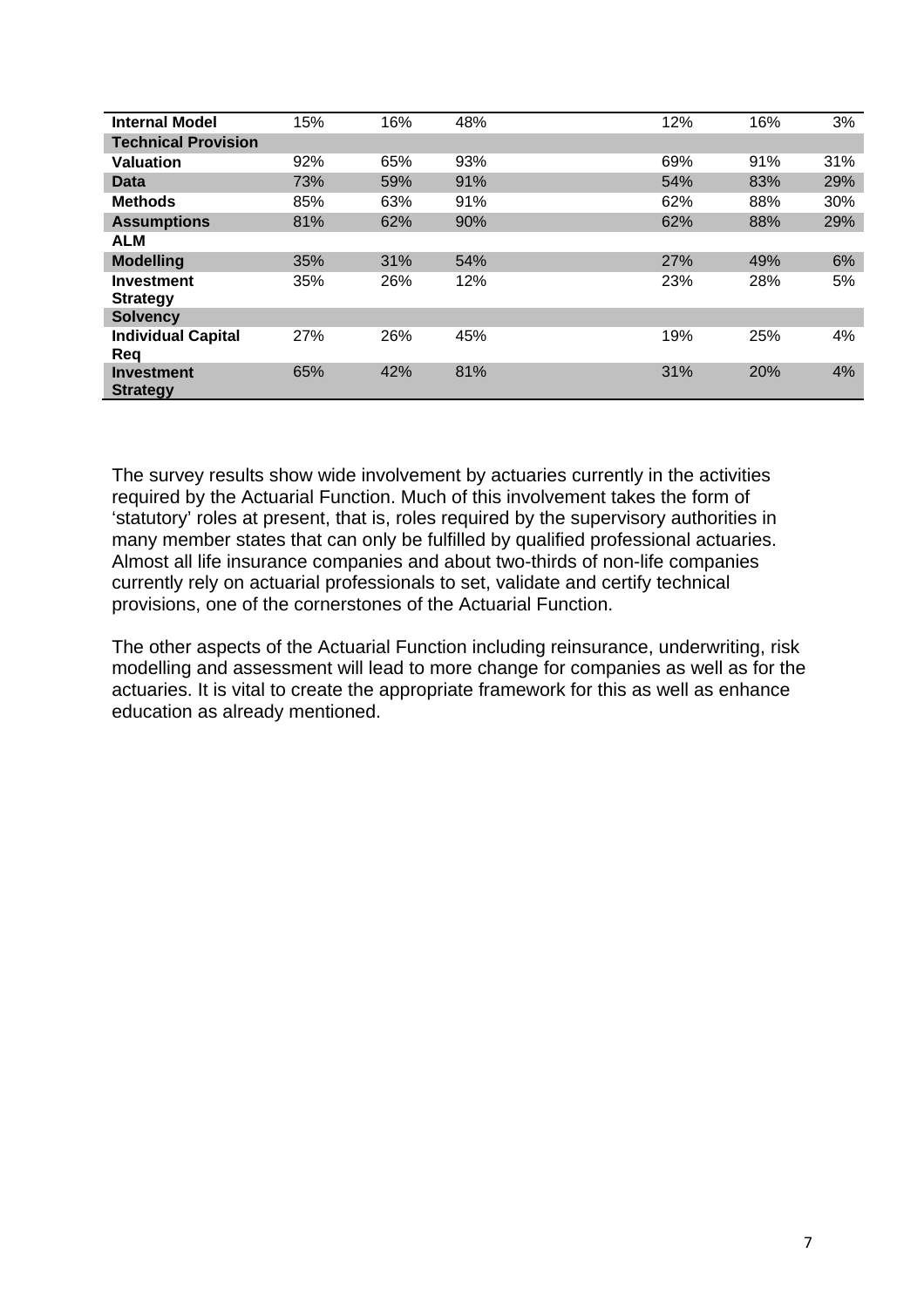| <b>Internal Model</b>                | 15% | 16% | 48% | 12% | 16% | 3%  |
|--------------------------------------|-----|-----|-----|-----|-----|-----|
| <b>Technical Provision</b>           |     |     |     |     |     |     |
| <b>Valuation</b>                     | 92% | 65% | 93% | 69% | 91% | 31% |
| Data                                 | 73% | 59% | 91% | 54% | 83% | 29% |
| <b>Methods</b>                       | 85% | 63% | 91% | 62% | 88% | 30% |
| <b>Assumptions</b>                   | 81% | 62% | 90% | 62% | 88% | 29% |
| <b>ALM</b>                           |     |     |     |     |     |     |
| <b>Modelling</b>                     | 35% | 31% | 54% | 27% | 49% | 6%  |
| <b>Investment</b><br><b>Strategy</b> | 35% | 26% | 12% | 23% | 28% | 5%  |
| <b>Solvency</b>                      |     |     |     |     |     |     |
| <b>Individual Capital</b><br>Reg     | 27% | 26% | 45% | 19% | 25% | 4%  |
| <b>Investment</b><br><b>Strategy</b> | 65% | 42% | 81% | 31% | 20% | 4%  |

The survey results show wide involvement by actuaries currently in the activities required by the Actuarial Function. Much of this involvement takes the form of 'statutory' roles at present, that is, roles required by the supervisory authorities in many member states that can only be fulfilled by qualified professional actuaries. Almost all life insurance companies and about two-thirds of non-life companies currently rely on actuarial professionals to set, validate and certify technical provisions, one of the cornerstones of the Actuarial Function.

The other aspects of the Actuarial Function including reinsurance, underwriting, risk modelling and assessment will lead to more change for companies as well as for the actuaries. It is vital to create the appropriate framework for this as well as enhance education as already mentioned.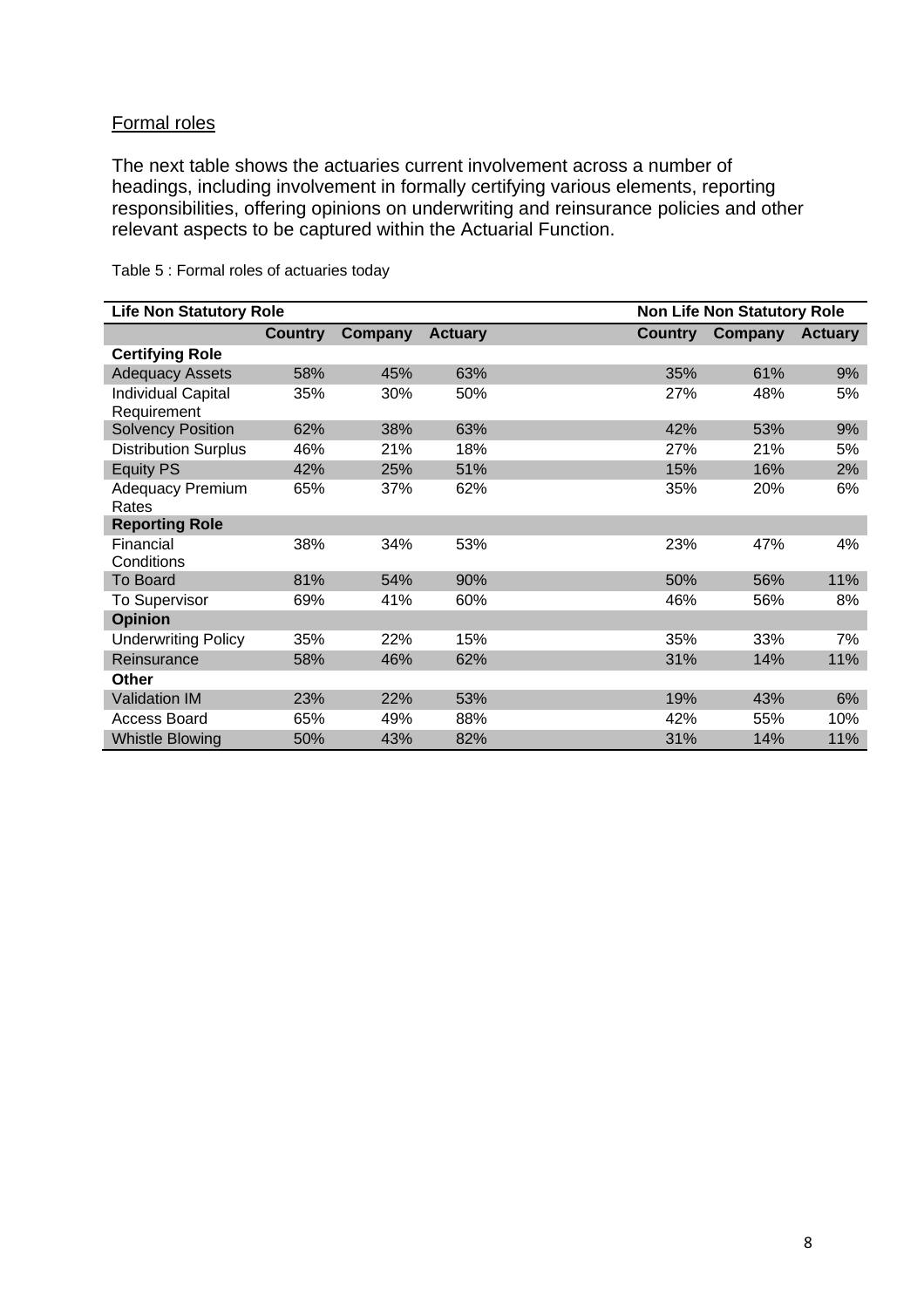## Formal roles

The next table shows the actuaries current involvement across a number of headings, including involvement in formally certifying various elements, reporting responsibilities, offering opinions on underwriting and reinsurance policies and other relevant aspects to be captured within the Actuarial Function.

| <b>Life Non Statutory Role</b>           |                |         |                |                | <b>Non Life Non Statutory Role</b> |                |
|------------------------------------------|----------------|---------|----------------|----------------|------------------------------------|----------------|
|                                          | <b>Country</b> | Company | <b>Actuary</b> | <b>Country</b> | Company                            | <b>Actuary</b> |
| <b>Certifying Role</b>                   |                |         |                |                |                                    |                |
| <b>Adequacy Assets</b>                   | 58%            | 45%     | 63%            | 35%            | 61%                                | 9%             |
| <b>Individual Capital</b><br>Requirement | 35%            | 30%     | 50%            | 27%            | 48%                                | 5%             |
| <b>Solvency Position</b>                 | 62%            | 38%     | 63%            | 42%            | 53%                                | 9%             |
| <b>Distribution Surplus</b>              | 46%            | 21%     | 18%            | 27%            | 21%                                | 5%             |
| <b>Equity PS</b>                         | 42%            | 25%     | 51%            | 15%            | 16%                                | 2%             |
| <b>Adequacy Premium</b><br>Rates         | 65%            | 37%     | 62%            | 35%            | 20%                                | 6%             |
| <b>Reporting Role</b>                    |                |         |                |                |                                    |                |
| Financial<br>Conditions                  | 38%            | 34%     | 53%            | 23%            | 47%                                | 4%             |
| <b>To Board</b>                          | 81%            | 54%     | 90%            | 50%            | 56%                                | 11%            |
| <b>To Supervisor</b>                     | 69%            | 41%     | 60%            | 46%            | 56%                                | 8%             |
| <b>Opinion</b>                           |                |         |                |                |                                    |                |
| <b>Underwriting Policy</b>               | 35%            | 22%     | 15%            | 35%            | 33%                                | 7%             |
| Reinsurance                              | 58%            | 46%     | 62%            | 31%            | 14%                                | 11%            |
| <b>Other</b>                             |                |         |                |                |                                    |                |
| <b>Validation IM</b>                     | 23%            | 22%     | 53%            | 19%            | 43%                                | 6%             |
| <b>Access Board</b>                      | 65%            | 49%     | 88%            | 42%            | 55%                                | 10%            |
| <b>Whistle Blowing</b>                   | 50%            | 43%     | 82%            | 31%            | 14%                                | 11%            |

Table 5 : Formal roles of actuaries today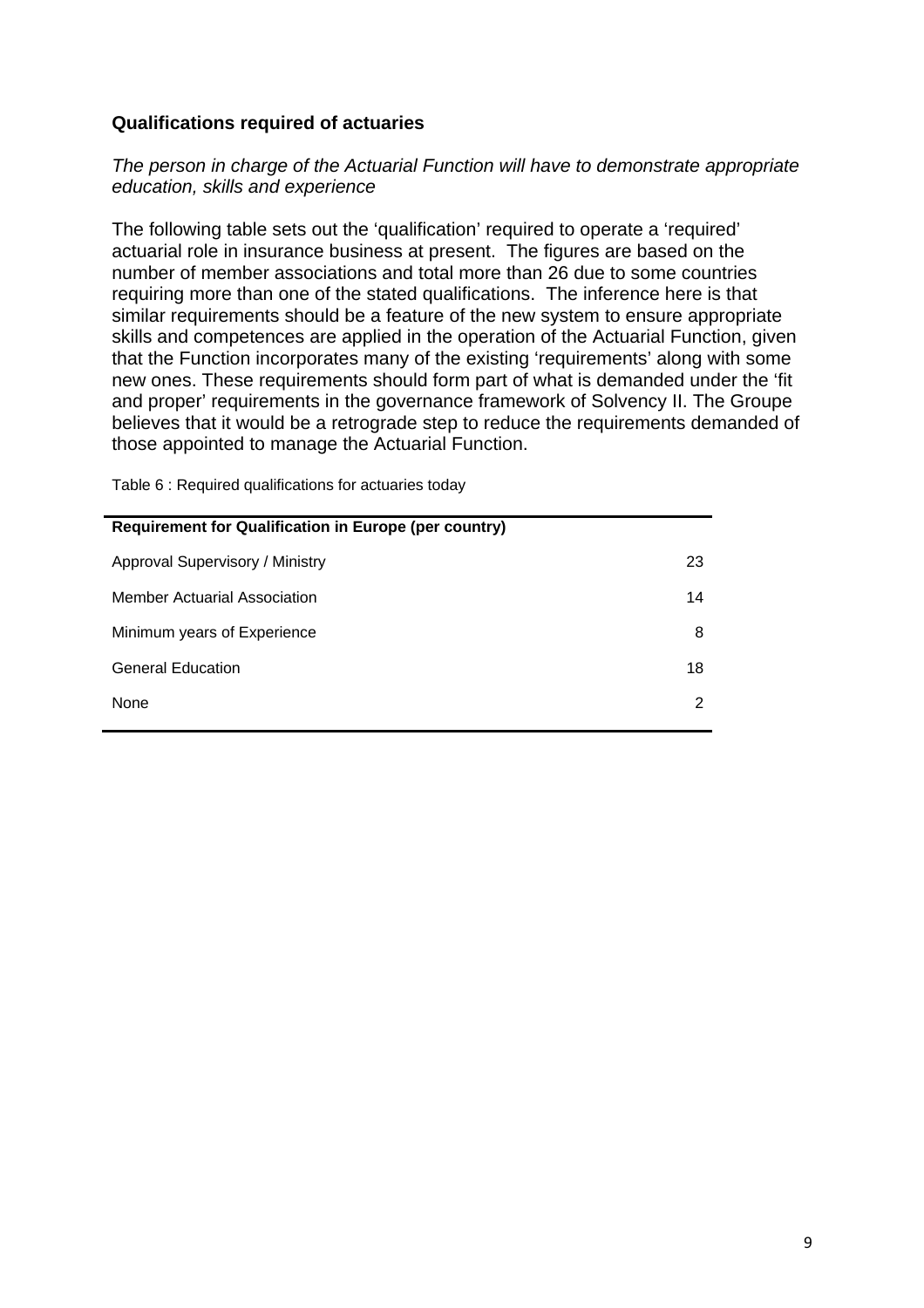### **Qualifications required of actuaries**

### *The person in charge of the Actuarial Function will have to demonstrate appropriate education, skills and experience*

The following table sets out the 'qualification' required to operate a 'required' actuarial role in insurance business at present. The figures are based on the number of member associations and total more than 26 due to some countries requiring more than one of the stated qualifications. The inference here is that similar requirements should be a feature of the new system to ensure appropriate skills and competences are applied in the operation of the Actuarial Function, given that the Function incorporates many of the existing 'requirements' along with some new ones. These requirements should form part of what is demanded under the 'fit and proper' requirements in the governance framework of Solvency II. The Groupe believes that it would be a retrograde step to reduce the requirements demanded of those appointed to manage the Actuarial Function.

Table 6 : Required qualifications for actuaries today

| <b>Requirement for Qualification in Europe (per country)</b> |    |
|--------------------------------------------------------------|----|
| Approval Supervisory / Ministry                              | 23 |
| Member Actuarial Association                                 | 14 |
| Minimum years of Experience                                  | 8  |
| <b>General Education</b>                                     | 18 |
| None                                                         | 2  |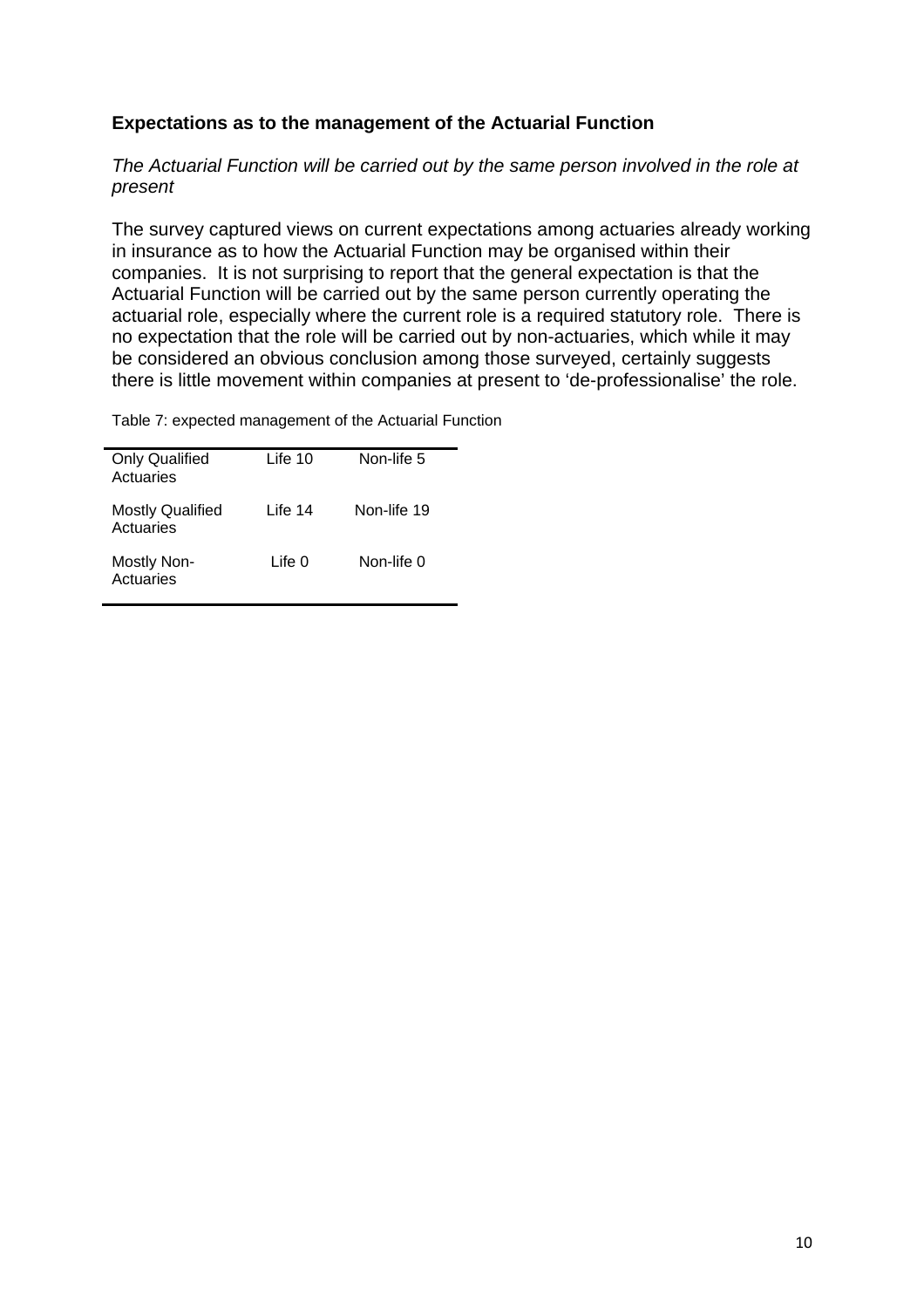## **Expectations as to the management of the Actuarial Function**

*The Actuarial Function will be carried out by the same person involved in the role at present* 

The survey captured views on current expectations among actuaries already working in insurance as to how the Actuarial Function may be organised within their companies. It is not surprising to report that the general expectation is that the Actuarial Function will be carried out by the same person currently operating the actuarial role, especially where the current role is a required statutory role. There is no expectation that the role will be carried out by non-actuaries, which while it may be considered an obvious conclusion among those surveyed, certainly suggests there is little movement within companies at present to 'de-professionalise' the role.

Table 7: expected management of the Actuarial Function

| <b>Only Qualified</b><br>Actuaries   | Life 10 | Non-life 5  |
|--------------------------------------|---------|-------------|
| <b>Mostly Qualified</b><br>Actuaries | Life 14 | Non-life 19 |
| Mostly Non-<br>Actuaries             | Life 0  | Non-life 0  |